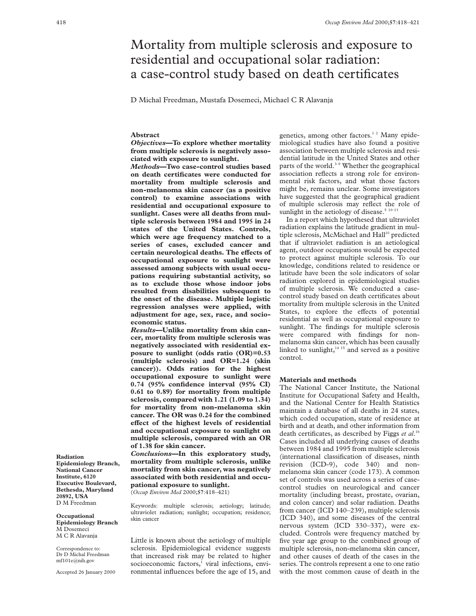# Mortality from multiple sclerosis and exposure to residential and occupational solar radiation: a case-control study based on death certificates

D Michal Freedman, Mustafa Dosemeci, Michael C R Alavanja

## **Abstract**

*Objectives***—To explore whether mortality from multiple sclerosis is negatively associated with exposure to sunlight.**

*Methods***—Two case-control studies based on death certificates were conducted for mortality from multiple sclerosis and non-melanoma skin cancer (as a positive control) to examine associations with residential and occupational exposure to sunlight. Cases were all deaths from multiple sclerosis between 1984 and 1995 in 24 states of the United States. Controls, which were age frequency matched to a series of cases, excluded cancer and** certain neurological deaths. The effects of **occupational exposure to sunlight were assessed among subjects with usual occupations requiring substantial activity, so as to exclude those whose indoor jobs resulted from disabilities subsequent to the onset of the disease. Multiple logistic regression analyses were applied, with adjustment for age, sex, race, and socioeconomic status.**

*Results***—Unlike mortality from skin cancer, mortality from multiple sclerosis was negatively associated with residential exposure to sunlight (odds ratio (OR)=0.53 (multiple sclerosis) and OR=1.24 (skin cancer)). Odds ratios for the highest occupational exposure to sunlight were 0.74 (95% confidence interval (95% CI) 0.61 to 0.89) for mortality from multiple sclerosis, compared with 1.21 (1.09 to 1.34) for mortality from non-melanoma skin cancer. The OR was 0.24 for the combined** effect of the highest levels of residential **and occupational exposure to sunlight on multiple sclerosis, compared with an OR of 1.38 for skin cancer.**

*Conclusions***—In this exploratory study, mortality from multiple sclerosis, unlike mortality from skin cancer, was negatively associated with both residential and occupational exposure to sunlight.** (*Occup Environ Med* 2000;**57**:418–421)

Keywords: multiple sclerosis; aetiology; latitude; ultraviolet radiation; sunlight; occupation; residence; skin cancer

Little is known about the aetiology of multiple sclerosis. Epidemiological evidence suggests that increased risk may be related to higher socioeconomic factors, $\frac{1}{1}$  viral infections, environmental influences before the age of 15, and

genetics, among other factors.<sup>12</sup> Many epidemiological studies have also found a positive association between multiple sclerosis and residential latitude in the United States and other parts of the world. $3-9$  Whether the geographical association reflects a strong role for environmental risk factors, and what those factors might be, remains unclear. Some investigators have suggested that the geographical gradient of multiple sclerosis may reflect the role of sunlight in the aetiology of disease.<sup>5 10-13</sup>

In a report which hypothesed that ultraviolet radiation explains the latitude gradient in multiple sclerosis, McMichael and Hall<sup>10</sup> predicted that if ultraviolet radiation is an aetiological agent, outdoor occupations would be expected to protect against multiple sclerosis. To our knowledge, conditions related to residence or latitude have been the sole indicators of solar radiation explored in epidemiological studies of multiple sclerosis. We conducted a casecontrol study based on death certificates about mortality from multiple sclerosis in the United States, to explore the effects of potential residential as well as occupational exposure to sunlight. The findings for multiple sclerosis were compared with findings for nonmelanoma skin cancer, which has been causally linked to sunlight, $14$ <sup>15</sup> and served as a positive control.

## **Materials and methods**

The National Cancer Institute, the National Institute for Occupational Safety and Health, and the National Center for Health Statistics maintain a database of all deaths in 24 states, which coded occupation, state of residence at birth and at death, and other information from death certificates, as described by Figgs *et al*. 16 Cases included all underlying causes of deaths between 1984 and 1995 from multiple sclerosis (international classification of diseases, ninth revision (ICD-9), code 340) and nonmelanoma skin cancer (code 173). A common set of controls was used across a series of casecontrol studies on neurological and cancer mortality (including breast, prostate, ovarian, and colon cancer) and solar radiation. Deaths from cancer (ICD 140–239), multiple sclerosis (ICD 340), and some diseases of the central nervous system (ICD 330–337), were excluded. Controls were frequency matched by five year age group to the combined group of multiple sclerosis, non-melanoma skin cancer, and other causes of death of the cases in the series. The controls represent a one to one ratio with the most common cause of death in the

**Radiation Epidemiology Branch, National Cancer Institute, 6120 Executive Boulevard, Bethesda, Maryland 20892, USA** D M Freedman

**Occupational Epidemiology Branch** M Dosemeci M C R Alavanja

Correspondence to: Dr D Michal Freedman mf101e@nih.gov

Accepted 26 January 2000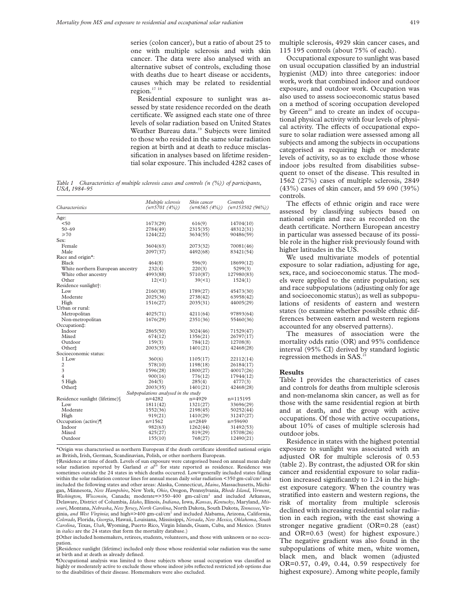series (colon cancer), but a ratio of about 25 to one with multiple sclerosis and with skin cancer. The data were also analysed with an alternative subset of controls, excluding those with deaths due to heart disease or accidents, causes which may be related to residential region.17 18

Residential exposure to sunlight was assessed by state residence recorded on the death certificate. We assigned each state one of three levels of solar radiation based on United States Weather Bureau data.<sup>19</sup> Subjects were limited to those who resided in the same solar radiation region at birth and at death to reduce misclassification in analyses based on lifetime residential solar exposure. This included 4282 cases of

*Table 1 Characteristics of multiple sclerosis cases and controls (n (%)) of participants, USA, 1984–95*

| Age:<br>< 50<br>1673(29)<br>616(9)<br>14704(10)<br>$50 - 69$<br>2784(49)<br>2315(35)<br>48312(31)<br>$\geq 70$<br>1244(22)<br>3634(55)<br>90486(59)<br>Sex:<br>Female<br>3604(63)<br>2073(32)<br>70081(46)<br>Male<br>2097(37)<br>4492(68)<br>83421(54)<br>Race and origin*:<br><b>Black</b><br>464(8)<br>596(9)<br>18699(12)<br>White northern European ancestry<br>232(4)<br>220(3)<br>5299(3)<br>White other ancestry<br>4993(88)<br>5710(87)<br>127980(83)<br>Other<br>12(1)<br>39(1)<br>1524(1)<br>Residence sunlight <sup>+</sup> :<br>L <sub>ow</sub><br>2160(38)<br>1789(27)<br>45473(30) | <i>Characteristics</i> | Multiple sclerosis<br>$(n=5701 (4%)$ | Skin cancer<br>$(n=6565(4%))$ | Controls<br>$(n=153502(96\%)$ |
|---------------------------------------------------------------------------------------------------------------------------------------------------------------------------------------------------------------------------------------------------------------------------------------------------------------------------------------------------------------------------------------------------------------------------------------------------------------------------------------------------------------------------------------------------------------------------------------------------|------------------------|--------------------------------------|-------------------------------|-------------------------------|
|                                                                                                                                                                                                                                                                                                                                                                                                                                                                                                                                                                                                   |                        |                                      |                               |                               |
|                                                                                                                                                                                                                                                                                                                                                                                                                                                                                                                                                                                                   |                        |                                      |                               |                               |
|                                                                                                                                                                                                                                                                                                                                                                                                                                                                                                                                                                                                   |                        |                                      |                               |                               |
|                                                                                                                                                                                                                                                                                                                                                                                                                                                                                                                                                                                                   |                        |                                      |                               |                               |
|                                                                                                                                                                                                                                                                                                                                                                                                                                                                                                                                                                                                   |                        |                                      |                               |                               |
|                                                                                                                                                                                                                                                                                                                                                                                                                                                                                                                                                                                                   |                        |                                      |                               |                               |
|                                                                                                                                                                                                                                                                                                                                                                                                                                                                                                                                                                                                   |                        |                                      |                               |                               |
|                                                                                                                                                                                                                                                                                                                                                                                                                                                                                                                                                                                                   |                        |                                      |                               |                               |
|                                                                                                                                                                                                                                                                                                                                                                                                                                                                                                                                                                                                   |                        |                                      |                               |                               |
|                                                                                                                                                                                                                                                                                                                                                                                                                                                                                                                                                                                                   |                        |                                      |                               |                               |
|                                                                                                                                                                                                                                                                                                                                                                                                                                                                                                                                                                                                   |                        |                                      |                               |                               |
|                                                                                                                                                                                                                                                                                                                                                                                                                                                                                                                                                                                                   |                        |                                      |                               |                               |
|                                                                                                                                                                                                                                                                                                                                                                                                                                                                                                                                                                                                   |                        |                                      |                               |                               |
|                                                                                                                                                                                                                                                                                                                                                                                                                                                                                                                                                                                                   |                        |                                      |                               |                               |
|                                                                                                                                                                                                                                                                                                                                                                                                                                                                                                                                                                                                   | Moderate               | 2025(36)                             | 2738(42)                      | 63958(42)                     |
| High<br>1516(27)<br>2035(31)<br>44005(29)                                                                                                                                                                                                                                                                                                                                                                                                                                                                                                                                                         |                        |                                      |                               |                               |
| Urban or rural:                                                                                                                                                                                                                                                                                                                                                                                                                                                                                                                                                                                   |                        |                                      |                               |                               |
| Metropolitan<br>4025(71)<br>97893(64)<br>4211(64)                                                                                                                                                                                                                                                                                                                                                                                                                                                                                                                                                 |                        |                                      |                               |                               |
| Non-metropolitan<br>1676(29)<br>2351(36)<br>55460(36)                                                                                                                                                                                                                                                                                                                                                                                                                                                                                                                                             |                        |                                      |                               |                               |
| Occupation#:                                                                                                                                                                                                                                                                                                                                                                                                                                                                                                                                                                                      |                        |                                      |                               |                               |
| Indoor<br>2865(50)<br>71529(47)<br>3024(46)                                                                                                                                                                                                                                                                                                                                                                                                                                                                                                                                                       |                        |                                      |                               |                               |
| Mixed<br>674(12)<br>1356(21)<br>26797(17)                                                                                                                                                                                                                                                                                                                                                                                                                                                                                                                                                         |                        |                                      |                               |                               |
| 159(3)<br>Outdoor<br>784(12)<br>12708(8)                                                                                                                                                                                                                                                                                                                                                                                                                                                                                                                                                          |                        |                                      |                               |                               |
| Other±<br>2003(35)<br>1401(21)<br>42468(28)                                                                                                                                                                                                                                                                                                                                                                                                                                                                                                                                                       |                        |                                      |                               |                               |
| Socioeconomic status:                                                                                                                                                                                                                                                                                                                                                                                                                                                                                                                                                                             |                        |                                      |                               |                               |
| 1 Low<br>360(6)<br>1105(17)<br>22112(14)                                                                                                                                                                                                                                                                                                                                                                                                                                                                                                                                                          |                        |                                      |                               |                               |
| $\overline{2}$<br>578(10)<br>1198(18)<br>26184(17)                                                                                                                                                                                                                                                                                                                                                                                                                                                                                                                                                |                        |                                      |                               |                               |
| 3<br>1596(28)<br>1800(27)<br>40017(26)                                                                                                                                                                                                                                                                                                                                                                                                                                                                                                                                                            |                        |                                      |                               |                               |
| $\overline{4}$<br>900(16)<br>776(12)<br>17944(12)                                                                                                                                                                                                                                                                                                                                                                                                                                                                                                                                                 |                        |                                      |                               |                               |
| 5 High<br>264(5)<br>285(4)<br>4777(3)                                                                                                                                                                                                                                                                                                                                                                                                                                                                                                                                                             |                        |                                      |                               |                               |
| Other‡<br>2003(35)<br>1401(21)<br>42468(28)                                                                                                                                                                                                                                                                                                                                                                                                                                                                                                                                                       |                        |                                      |                               |                               |
| Subpopulations analysed in the study                                                                                                                                                                                                                                                                                                                                                                                                                                                                                                                                                              |                        |                                      |                               |                               |
| Residence sunlight (lifetime)<br>$n = 4282$<br>$n = 4929$<br>n=115195                                                                                                                                                                                                                                                                                                                                                                                                                                                                                                                             |                        |                                      |                               |                               |
| $I_{\text{OW}}$<br>1811(42)<br>1321(27)<br>33696(29)                                                                                                                                                                                                                                                                                                                                                                                                                                                                                                                                              |                        |                                      |                               |                               |
| Moderate<br>50252(44)<br>1552(36)<br>2198(45)                                                                                                                                                                                                                                                                                                                                                                                                                                                                                                                                                     |                        |                                      |                               |                               |
| High<br>919(21)<br>1410(29)<br>31247(27)                                                                                                                                                                                                                                                                                                                                                                                                                                                                                                                                                          |                        |                                      |                               |                               |
| Occupation (active)<br>$n = 1562$<br>n=2849<br>n=59690                                                                                                                                                                                                                                                                                                                                                                                                                                                                                                                                            |                        |                                      |                               |                               |
| Indoor<br>982(63)<br>1262(44)<br>31492(53)                                                                                                                                                                                                                                                                                                                                                                                                                                                                                                                                                        |                        |                                      |                               |                               |
| Mixed<br>425(27)<br>819(29)<br>15708(26)                                                                                                                                                                                                                                                                                                                                                                                                                                                                                                                                                          |                        |                                      |                               |                               |
| 768(27)<br>Outdoor<br>155(10)<br>12490(21)                                                                                                                                                                                                                                                                                                                                                                                                                                                                                                                                                        |                        |                                      |                               |                               |

\*Origin was characterised as northern European if the death certificate identified national origin as British, Irish, German, Scandinavian, Polish, or other northern European.

†Residence at time of death. Levels of sun exposure were categorised based on annual mean daily solar radiation reported by Garland *et al*<sup>19</sup> for state reported as residence. Residence was sometimes outside the 24 states in which deaths occurred. Low=generally included states falling within the solar radiation contour lines for annual mean daily solar radiation  $\leq$ 350 gm-cal/cm<sup>2</sup> and included the following states and other areas: Alaska, Connecticut, *Maine*, Massachusetts, Michigan, Minnesota, *New Hampshire*, New York, *Ohio*, Oregon, Pennsylvania, *Rhode Island*, *Vermont, Washington, Wisconsin*, Canada; moderate=>350–400 gm-cal/cm2 and included Arkansas, Delaware, District of Columbia, *Idaho*, Illinois, *Indiana*, Iowa, *Kansas*, *Kentucky*, Maryland, *Missouri*, Montana, *Nebraska,New Jersey,North Carolina*, North Dakota, South Dakota, *Tennessee*, Virginia, *and West Virginia*; and high=>400 gm-cal/cm2 and included Alabama, Arizona, California, *Colorado,* Florida, *Georgia*, Hawaii, Louisiana, Mississippi, *Nevada, New Mexico, Oklahoma, South Carolina,* Texas, *Utah*, Wyoming, Puerto Rico, Virgin Islands, Guam, Cuba, and Mexico. (States in *italics* are the 24 states that form the mortality database.)

‡Other included homemakers, retirees, students, volunteers, and those with unknown or no occupation.

§Residence sunlight (lifetime) included only those whose residential solar radiation was the same at birth and at death as already defined.

¶Occupational analysis was limited to those subjects whose usual occupation was classified as highly or moderately active to exclude those whose indoor jobs reflected restricted job options due to the disabilities of their disease. Homemakers were also excluded.

multiple sclerosis, 4929 skin cancer cases, and 115 195 controls (about 75% of each).

Occupational exposure to sunlight was based on usual occupation classified by an industrial hygienist (MD) into three categories: indoor work, work that combined indoor and outdoor exposure, and outdoor work. Occupation was also used to assess socioeconomic status based on a method of scoring occupation developed by Green<sup>20</sup> and to create an index of occupational physical activity with four levels of physical activity. The effects of occupational exposure to solar radiation were assessed among all subjects and among the subjects in occupations categorised as requiring high or moderate levels of activity, so as to exclude those whose indoor jobs resulted from disabilities subsequent to onset of the disease. This resulted in 1562 (27%) cases of multiple sclerosis, 2849 (43%) cases of skin cancer, and 59 690 (39%) controls.

The effects of ethnic origin and race were assessed by classifying subjects based on national origin and race as recorded on the death certificate. Northern European ancestry in particular was assessed because of its possible role in the higher risk previously found with higher latitudes in the US.

We used multivariate models of potential exposure to solar radiation, adjusting for age, sex, race, and socioeconomic status. The models were applied to the entire population; sex and race subpopulations (adjusting only for age and socioeconomic status); as well as subpopulations of residents of eastern and western states (to examine whether possible ethnic differences between eastern and western regions accounted for any observed patterns).

The measures of association were the mortality odds ratio (OR) and 95% confidence interval (95% CI) derived by standard logistic regression methods in SAS.<sup>2</sup>

#### **Results**

Table 1 provides the characteristics of cases and controls for deaths from multiple sclerosis and non-melanoma skin cancer, as well as for those with the same residential region at birth and at death, and the group with active occupations. Of those with active occupations, about 10% of cases of multiple sclerosis had outdoor jobs.

Residence in states with the highest potential exposure to sunlight was associated with an adjusted OR for multiple sclerosis of 0.53 (table 2). By contrast, the adjusted OR for skin cancer and residential exposure to solar radiation increased significantly to 1.24 in the highest exposure category. When the country was stratified into eastern and western regions, the risk of mortality from multiple sclerosis declined with increasing residential solar radiation in each region, with the east showing a stronger negative gradient (OR=0.28 (east) and OR=0.63 (west) for highest exposure.) The negative gradient was also found in the subpopulations of white men, white women, black men, and black women (adjusted OR=0.57, 0.49, 0.44, 0.59 respectively for highest exposure). Among white people, family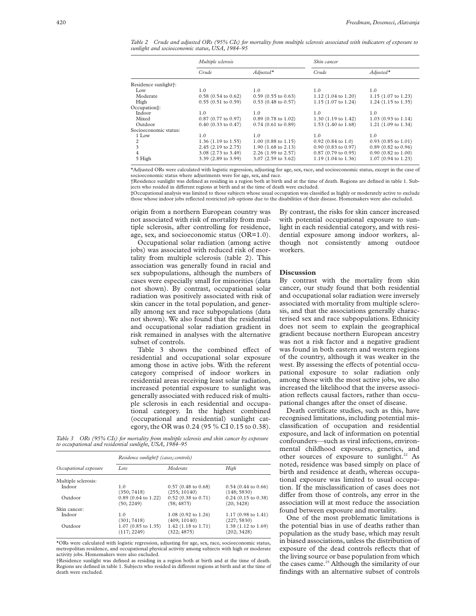*Table 2 Crude and adjusted ORs (95% CIs) for mortality from multiple sclerosis associated with indicators of exposure to sunlight and socioeconomic status, USA, 1984–95*

|                       | Multiple sclerosis            |                               | Skin cancer                    |                               |
|-----------------------|-------------------------------|-------------------------------|--------------------------------|-------------------------------|
|                       | Crude                         | $Adi$ usted $*$               | Crude                          | $Adjusted*$                   |
| Residence sunlight†:  |                               |                               |                                |                               |
| Low                   | 1.0                           | 1.0                           | 1.0                            | 1.0                           |
| Moderate              | $0.58$ (0.54 to 0.62)         | $0.59$ (0.55 to 0.63)         | $1.12$ (1.04 to 1.20)          | $1.15$ (1.07 to 1.23)         |
| High                  | $0.55(0.51 \text{ to } 0.59)$ | $0.53$ (0.48 to 0.57)         | 1.15 (1.07 to 1.24)            | $1.24$ (1.15 to 1.35)         |
| Occupation‡:          |                               |                               |                                |                               |
| Indoor                | 1.0                           | 1.0                           | 1.0                            | 1.0                           |
| Mixed                 | $0.87$ (0.77 to 0.97)         | $0.89$ (0.78 to 1.02)         | $1.30(1.19 \text{ to } 1.42)$  | $1.03$ (0.93 to 1.14)         |
| Outdoor               | $0.40$ (0.33 to 0.47)         | $0.74$ (0.61 to 0.89)         | 1.53 $(1.40 \text{ to } 1.68)$ | 1.21 (1.09 to 1.34)           |
| Socioeconomic status: |                               |                               |                                |                               |
| 1 Low                 | 1.0                           | 1.0                           | 1.0                            | 1.0                           |
| 2                     | $1.36$ (1.19 to 1.55)         | $1.00$ (0.88 to 1.15)         | $0.92$ (0.84 to 1.0)           | $0.93$ (0.85 to 1.01)         |
| 3                     | 2.45 (2.19 to 2.75)           | $1.90(1.68 \text{ to } 2.13)$ | $0.90$ (0.83 to 0.97)          | $0.89$ (0.82 to 0.96)         |
| 4                     | 3.08 (2.73 to 3.49)           | 2.26 (1.99 to 2.57)           | $0.87(0.79)$ to $0.95$ )       | $0.90(0.82 \text{ to } 1.00)$ |
| 5 High                | 3.39 (2.89 to 3.99)           | 3.07 (2.59 to 3.62)           | $1.19(1.04 \text{ to } 1.36)$  | 1.07 (0.94 to 1.23)           |

\*Adjusted ORs were calculated with logistic regression, adjusting for age, sex, race, and socioeconomic status, except in the case of socioeconomic status where adjustments were for age, sex, and race.

†Residence sunlight was defined as residing in a region both at birth and at the time of death. Regions are defined in table 1. Subjects who resided in different regions at birth and at the time of death were excluded.

‡Occupational analysis was limited to those subjects whose usual occupation was classified as highly or moderately active to exclude those whose indoor jobs reflected restricted job options due to the disabilities of their disease. Homemakers were also excluded.

origin from a northern European country was not associated with risk of mortality from multiple sclerosis, after controlling for residence, age, sex, and socioeconomic status (OR=1.0).

Occupational solar radiation (among active jobs) was associated with reduced risk of mortality from multiple sclerosis (table 2). This association was generally found in racial and sex subpopulations, although the numbers of cases were especially small for minorities (data not shown). By contrast, occupational solar radiation was positively associated with risk of skin cancer in the total population, and generally among sex and race subpopulations (data not shown). We also found that the residential and occupational solar radiation gradient in risk remained in analyses with the alternative subset of controls.

Table 3 shows the combined effect of residential and occupational solar exposure among those in active jobs. With the referent category comprised of indoor workers in residential areas receiving least solar radiation, increased potential exposure to sunlight was generally associated with reduced risk of multiple sclerosis in each residential and occupational category. In the highest combined (occupational and residential) sunlight category, the OR was 0.24 (95 % CI 0.15 to 0.38).

*Table 3 ORs (95% CIs) for mortality from multiple sclerosis and skin cancer by exposure to occupational and residential sunlight, USA, 1984–95*

|                       | Residence sunlight† (cases; controls) |                       |                               |  |  |
|-----------------------|---------------------------------------|-----------------------|-------------------------------|--|--|
| Occupational exposure | Low                                   | Moderate              | High                          |  |  |
| Multiple sclerosis:   |                                       |                       |                               |  |  |
| Indoor                | 1.0                                   | $0.57$ (0.48 to 0.68) | $0.54$ (0.44 to 0.66)         |  |  |
|                       | (350; 7418)                           | (255; 10140)          | (148; 5830)                   |  |  |
| Outdoor               | $0.89$ (0.64 to 1.22)                 | $0.52$ (0.38 to 0.71) | $0.24$ (0.15 to 0.38)         |  |  |
|                       | (50, 2249)                            | (58; 4875)            | (20, 3428)                    |  |  |
| Skin cancer:          |                                       |                       |                               |  |  |
| Indoor                | 1.0                                   | $1.08$ (0.92 to 1.26) | $1.17(0.98 \text{ to } 1.41)$ |  |  |
|                       | (301; 7418)                           | (409; 10140)          | (227; 5830)                   |  |  |
| Outdoor               | $1.07$ (0.85 to 1.35)                 | 1.42 (1.18 to 1.71)   | 1.38 (1.12 to 1.69)           |  |  |
|                       | (117; 2249)                           | (322; 4875)           | (202; 3428)                   |  |  |

\*ORs were calculated with logistic regression, adjusting for age, sex, race, socioeconomic status, metropolitan residence, and occupational physical activity among subjects with high or moderate activity jobs. Homemakers were also excluded.

†Residence sunlight was defined as residing in a region both at birth and at the time of death. Regions are defined in table 1. Subjects who resided in different regions at birth and at the time of death were excluded.

By contrast, the risks for skin cancer increased with potential occupational exposure to sunlight in each residential category, and with residential exposure among indoor workers, although not consistently among outdoor workers.

#### **Discussion**

By contrast with the mortality from skin cancer, our study found that both residential and occupational solar radiation were inversely associated with mortality from multiple sclerosis, and that the associations generally characterised sex and race subpopulations. Ethnicity does not seem to explain the geographical gradient because northern European ancestry was not a risk factor and a negative gradient was found in both eastern and western regions of the country, although it was weaker in the west. By assessing the effects of potential occupational exposure to solar radiation only among those with the most active jobs, we also increased the likelihood that the inverse association reflects causal factors, rather than occupational changes after the onset of disease.

Death certificate studies, such as this, have recognised limitations, including potential misclassification of occupation and residential exposure, and lack of information on potential confounders—such as viral infections, environmental childhood exposures, genetics, and other sources of exposure to sunlight.<sup>22</sup> As noted, residence was based simply on place of birth and residence at death, whereas occupational exposure was limited to usual occupation. If the misclassification of cases does not differ from those of controls, any error in the association will at most reduce the association found between exposure and mortality.

One of the most problematic limitations is the potential bias in use of deaths rather than population as the study base, which may result in biased associations, unless the distribution of exposure of the dead controls reflects that of the living source or base population from which the cases came.<sup>23</sup> Although the similarity of our findings with an alternative subset of controls